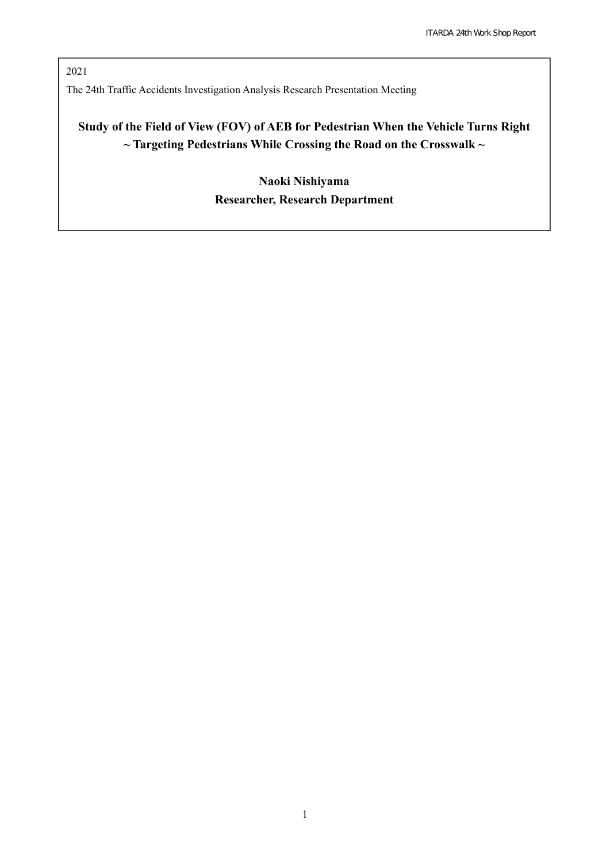2021 The 24th Traffic Accidents Investigation Analysis Research Presentation Meeting

# **Study of the Field of View (FOV) of AEB for Pedestrian When the Vehicle Turns Right ~ Targeting Pedestrians While Crossing the Road on the Crosswalk ~**

**Naoki Nishiyama Researcher, Research Department**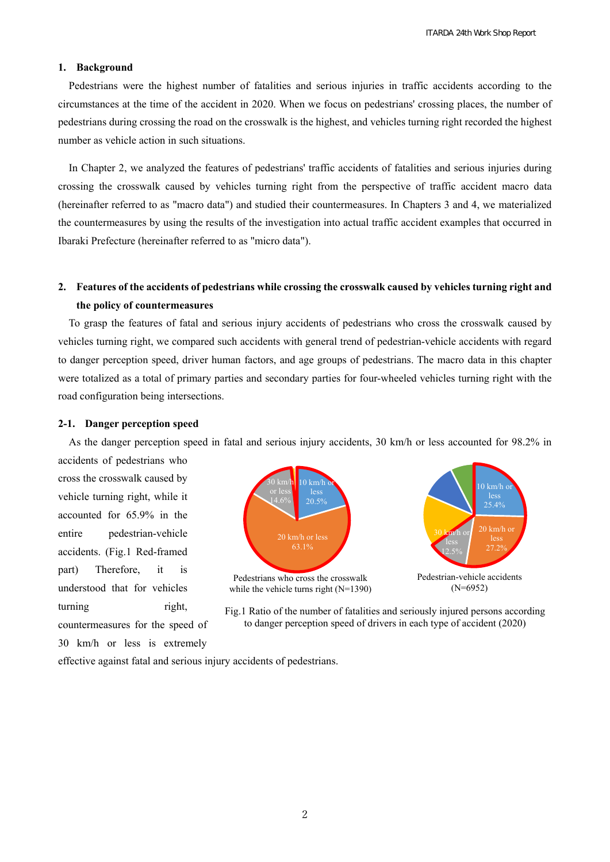#### **1. Background**

Pedestrians were the highest number of fatalities and serious injuries in traffic accidents according to the circumstances at the time of the accident in 2020. When we focus on pedestrians' crossing places, the number of pedestrians during crossing the road on the crosswalk is the highest, and vehicles turning right recorded the highest number as vehicle action in such situations.

In Chapter 2, we analyzed the features of pedestrians' traffic accidents of fatalities and serious injuries during crossing the crosswalk caused by vehicles turning right from the perspective of traffic accident macro data (hereinafter referred to as "macro data") and studied their countermeasures. In Chapters 3 and 4, we materialized the countermeasures by using the results of the investigation into actual traffic accident examples that occurred in Ibaraki Prefecture (hereinafter referred to as "micro data").

## **2. Features of the accidents of pedestrians while crossing the crosswalk caused by vehicles turning right and the policy of countermeasures**

To grasp the features of fatal and serious injury accidents of pedestrians who cross the crosswalk caused by vehicles turning right, we compared such accidents with general trend of pedestrian-vehicle accidents with regard to danger perception speed, driver human factors, and age groups of pedestrians. The macro data in this chapter were totalized as a total of primary parties and secondary parties for four-wheeled vehicles turning right with the road configuration being intersections.

### **2-1. Danger perception speed**

As the danger perception speed in fatal and serious injury accidents, 30 km/h or less accounted for 98.2% in

accidents of pedestrians who cross the crosswalk caused by vehicle turning right, while it accounted for 65.9% in the entire pedestrian-vehicle accidents. (Fig.1 Red-framed part) Therefore, it is understood that for vehicles turning right, countermeasures for the speed of

30 km/h or less is extremely



Fig.1 Ratio of the number of fatalities and seriously injured persons according to danger perception speed of drivers in each type of accident (2020)

effective against fatal and serious injury accidents of pedestrians.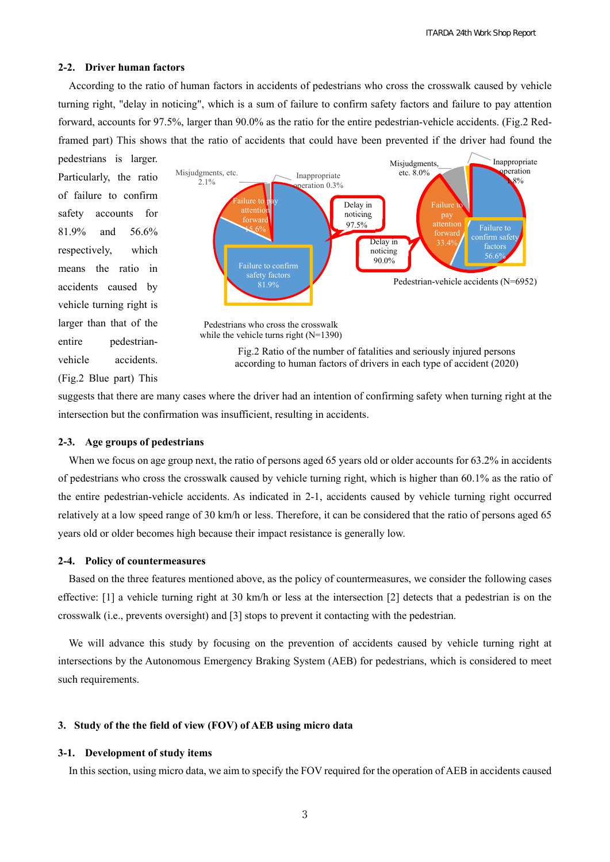#### **2-2. Driver human factors**

According to the ratio of human factors in accidents of pedestrians who cross the crosswalk caused by vehicle turning right, "delay in noticing", which is a sum of failure to confirm safety factors and failure to pay attention forward, accounts for 97.5%, larger than 90.0% as the ratio for the entire pedestrian-vehicle accidents. (Fig.2 Redframed part) This shows that the ratio of accidents that could have been prevented if the driver had found the

pedestrians is larger. Particularly, the ratio of failure to confirm safety accounts for 81.9% and 56.6% respectively, which means the ratio in accidents caused by vehicle turning right is larger than that of the entire pedestrianvehicle accidents. (Fig.2 Blue part) This





Fig.2 Ratio of the number of fatalities and seriously injured persons according to human factors of drivers in each type of accident (2020)

suggests that there are many cases where the driver had an intention of confirming safety when turning right at the intersection but the confirmation was insufficient, resulting in accidents.

#### **2-3. Age groups of pedestrians**

When we focus on age group next, the ratio of persons aged 65 years old or older accounts for 63.2% in accidents of pedestrians who cross the crosswalk caused by vehicle turning right, which is higher than 60.1% as the ratio of the entire pedestrian-vehicle accidents. As indicated in 2-1, accidents caused by vehicle turning right occurred relatively at a low speed range of 30 km/h or less. Therefore, it can be considered that the ratio of persons aged 65 years old or older becomes high because their impact resistance is generally low.

#### **2-4. Policy of countermeasures**

Based on the three features mentioned above, as the policy of countermeasures, we consider the following cases effective: [1] a vehicle turning right at 30 km/h or less at the intersection [2] detects that a pedestrian is on the crosswalk (i.e., prevents oversight) and [3] stops to prevent it contacting with the pedestrian.

We will advance this study by focusing on the prevention of accidents caused by vehicle turning right at intersections by the Autonomous Emergency Braking System (AEB) for pedestrians, which is considered to meet such requirements.

## **3. Study of the the field of view (FOV) of AEB using micro data**

#### **3-1. Development of study items**

In this section, using micro data, we aim to specify the FOV required for the operation of AEB in accidents caused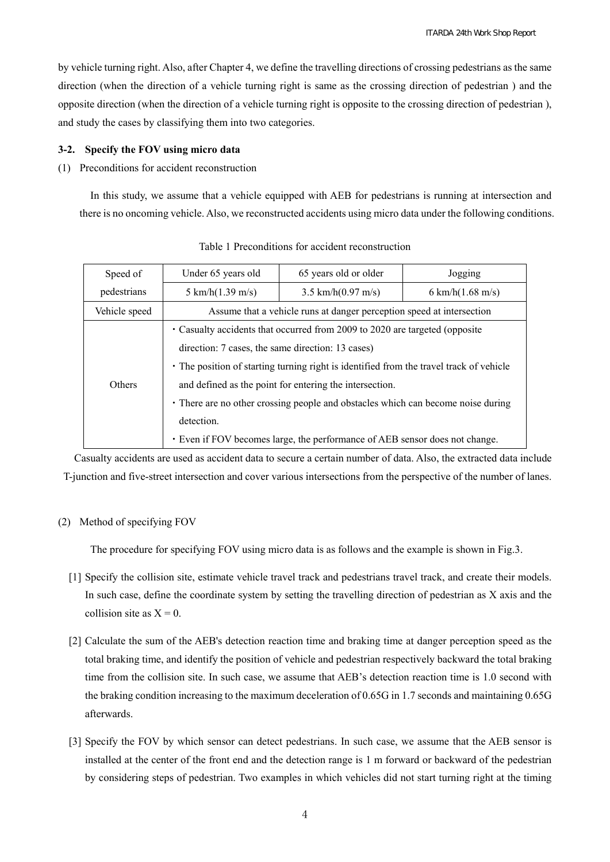by vehicle turning right. Also, after Chapter 4, we define the travelling directions of crossing pedestrians as the same direction (when the direction of a vehicle turning right is same as the crossing direction of pedestrian ) and the opposite direction (when the direction of a vehicle turning right is opposite to the crossing direction of pedestrian ), and study the cases by classifying them into two categories.

## **3-2. Specify the FOV using micro data**

## (1) Preconditions for accident reconstruction

In this study, we assume that a vehicle equipped with AEB for pedestrians is running at intersection and there is no oncoming vehicle. Also, we reconstructed accidents using micro data under the following conditions.

| Speed of      | Under 65 years old                                                                      | 65 years old or older         | Jogging             |
|---------------|-----------------------------------------------------------------------------------------|-------------------------------|---------------------|
| pedestrians   | 5 km/h( $1.39$ m/s)                                                                     | 3.5 km/h $(0.97 \text{ m/s})$ | 6 km/h( $1.68$ m/s) |
| Vehicle speed | Assume that a vehicle runs at danger perception speed at intersection                   |                               |                     |
| Others        | • Casualty accidents that occurred from 2009 to 2020 are targeted (opposite)            |                               |                     |
|               | direction: 7 cases, the same direction: 13 cases)                                       |                               |                     |
|               | • The position of starting turning right is identified from the travel track of vehicle |                               |                     |
|               | and defined as the point for entering the intersection.                                 |                               |                     |
|               | • There are no other crossing people and obstacles which can become noise during        |                               |                     |
|               | detection.                                                                              |                               |                     |
|               | • Even if FOV becomes large, the performance of AEB sensor does not change.             |                               |                     |

Table 1 Preconditions for accident reconstruction

Casualty accidents are used as accident data to secure a certain number of data. Also, the extracted data include T-junction and five-street intersection and cover various intersections from the perspective of the number of lanes.

## (2) Method of specifying FOV

The procedure for specifying FOV using micro data is as follows and the example is shown in Fig.3.

- [1] Specify the collision site, estimate vehicle travel track and pedestrians travel track, and create their models. In such case, define the coordinate system by setting the travelling direction of pedestrian as X axis and the collision site as  $X = 0$ .
- [2] Calculate the sum of the AEB's detection reaction time and braking time at danger perception speed as the total braking time, and identify the position of vehicle and pedestrian respectively backward the total braking time from the collision site. In such case, we assume that AEB's detection reaction time is 1.0 second with the braking condition increasing to the maximum deceleration of 0.65G in 1.7 seconds and maintaining 0.65G afterwards.
- [3] Specify the FOV by which sensor can detect pedestrians. In such case, we assume that the AEB sensor is installed at the center of the front end and the detection range is 1 m forward or backward of the pedestrian by considering steps of pedestrian. Two examples in which vehicles did not start turning right at the timing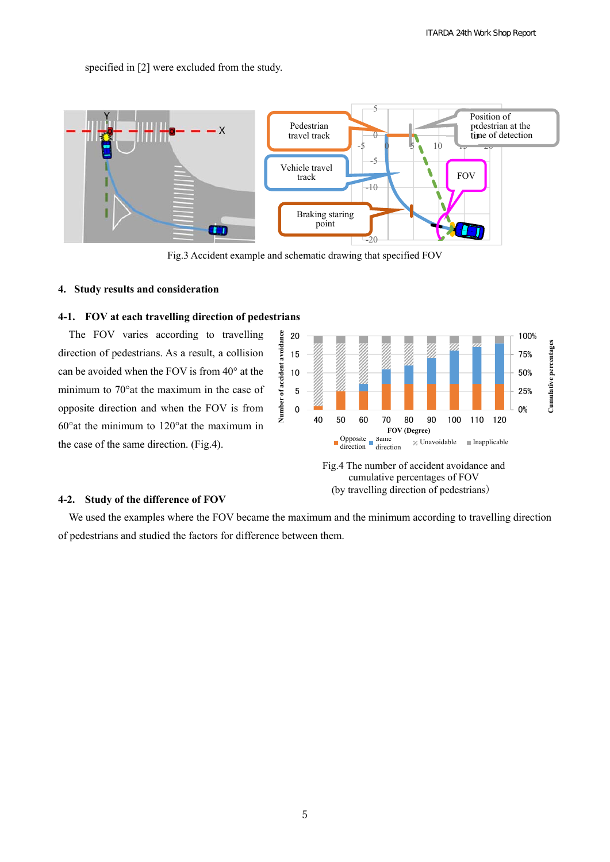specified in [2] were excluded from the study.



Fig.3 Accident example and schematic drawing that specified FOV

#### **4. Study results and consideration**

## **4-1. FOV at each travelling direction of pedestrians**

The FOV varies according to travelling direction of pedestrians. As a result, a collision can be avoided when the FOV is from 40° at the minimum to 70°at the maximum in the case of opposite direction and when the FOV is from 60°at the minimum to 120°at the maximum in the case of the same direction. (Fig.4).



cumulative percentages of FOV (by travelling direction of pedestrians)

## **4-2. Study of the difference of FOV**

We used the examples where the FOV became the maximum and the minimum according to travelling direction of pedestrians and studied the factors for difference between them.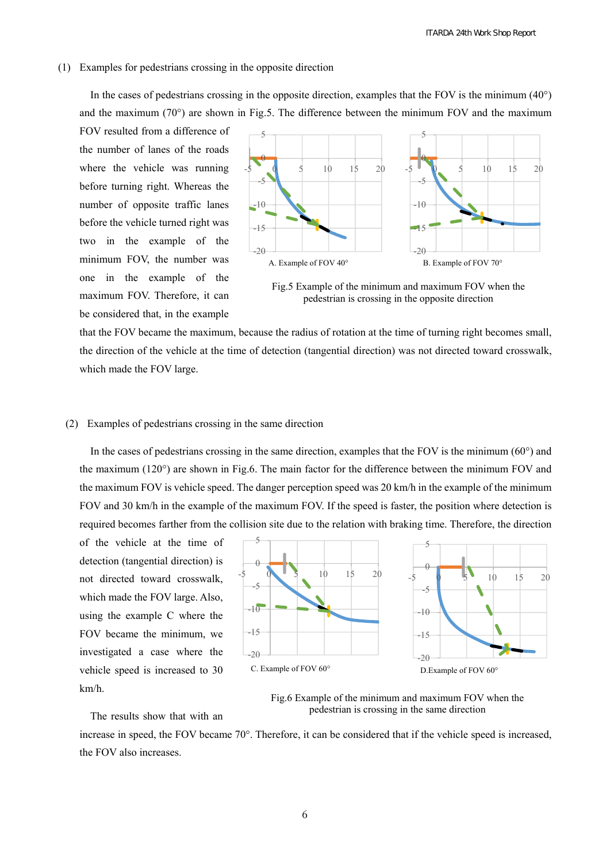#### (1) Examples for pedestrians crossing in the opposite direction

In the cases of pedestrians crossing in the opposite direction, examples that the FOV is the minimum  $(40^{\circ})$ and the maximum  $(70^{\circ})$  are shown in Fig.5. The difference between the minimum FOV and the maximum

FOV resulted from a difference of the number of lanes of the roads where the vehicle was running before turning right. Whereas the number of opposite traffic lanes before the vehicle turned right was two in the example of the minimum FOV, the number was one in the example of the maximum FOV. Therefore, it can be considered that, in the example



Fig.5 Example of the minimum and maximum FOV when the pedestrian is crossing in the opposite direction

that the FOV became the maximum, because the radius of rotation at the time of turning right becomes small, the direction of the vehicle at the time of detection (tangential direction) was not directed toward crosswalk, which made the FOV large.

#### (2) Examples of pedestrians crossing in the same direction

In the cases of pedestrians crossing in the same direction, examples that the FOV is the minimum ( $60^{\circ}$ ) and the maximum (120°) are shown in Fig.6. The main factor for the difference between the minimum FOV and the maximum FOV is vehicle speed. The danger perception speed was 20 km/h in the example of the minimum FOV and 30 km/h in the example of the maximum FOV. If the speed is faster, the position where detection is required becomes farther from the collision site due to the relation with braking time. Therefore, the direction

of the vehicle at the time of detection (tangential direction) is not directed toward crosswalk, which made the FOV large. Also, using the example C where the FOV became the minimum, we investigated a case where the vehicle speed is increased to 30 km/h.

The results show that with an



Fig.6 Example of the minimum and maximum FOV when the pedestrian is crossing in the same direction

increase in speed, the FOV became 70°. Therefore, it can be considered that if the vehicle speed is increased, the FOV also increases.